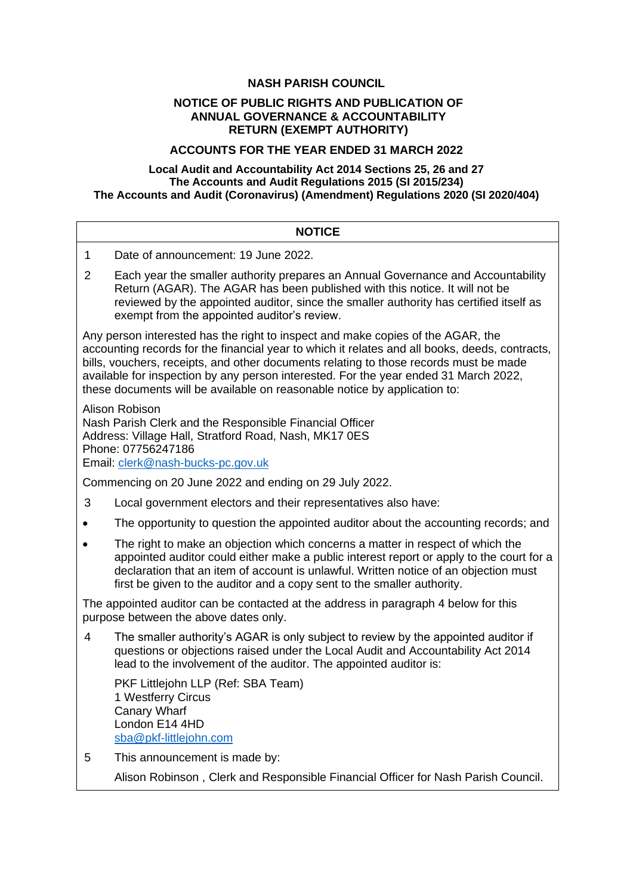# **NASH PARISH COUNCIL**

## **NOTICE OF PUBLIC RIGHTS AND PUBLICATION OF ANNUAL GOVERNANCE & ACCOUNTABILITY RETURN (EXEMPT AUTHORITY)**

# **ACCOUNTS FOR THE YEAR ENDED 31 MARCH 2022**

## **Local Audit and Accountability Act 2014 Sections 25, 26 and 27 The Accounts and Audit Regulations 2015 (SI 2015/234) The Accounts and Audit (Coronavirus) (Amendment) Regulations 2020 (SI 2020/404)**

| <b>NOTICE</b>                                                                                                                                                                                                                                                                                                                                                                                                                                   |                                                                                                                                                                                                                                                                                                                                               |  |
|-------------------------------------------------------------------------------------------------------------------------------------------------------------------------------------------------------------------------------------------------------------------------------------------------------------------------------------------------------------------------------------------------------------------------------------------------|-----------------------------------------------------------------------------------------------------------------------------------------------------------------------------------------------------------------------------------------------------------------------------------------------------------------------------------------------|--|
| 1                                                                                                                                                                                                                                                                                                                                                                                                                                               | Date of announcement: 19 June 2022.                                                                                                                                                                                                                                                                                                           |  |
| $\overline{2}$                                                                                                                                                                                                                                                                                                                                                                                                                                  | Each year the smaller authority prepares an Annual Governance and Accountability<br>Return (AGAR). The AGAR has been published with this notice. It will not be<br>reviewed by the appointed auditor, since the smaller authority has certified itself as<br>exempt from the appointed auditor's review.                                      |  |
| Any person interested has the right to inspect and make copies of the AGAR, the<br>accounting records for the financial year to which it relates and all books, deeds, contracts,<br>bills, vouchers, receipts, and other documents relating to those records must be made<br>available for inspection by any person interested. For the year ended 31 March 2022,<br>these documents will be available on reasonable notice by application to: |                                                                                                                                                                                                                                                                                                                                               |  |
| Alison Robison<br>Nash Parish Clerk and the Responsible Financial Officer<br>Address: Village Hall, Stratford Road, Nash, MK17 0ES<br>Phone: 07756247186<br>Email: clerk@nash-bucks-pc.gov.uk                                                                                                                                                                                                                                                   |                                                                                                                                                                                                                                                                                                                                               |  |
| Commencing on 20 June 2022 and ending on 29 July 2022.                                                                                                                                                                                                                                                                                                                                                                                          |                                                                                                                                                                                                                                                                                                                                               |  |
| 3                                                                                                                                                                                                                                                                                                                                                                                                                                               | Local government electors and their representatives also have:                                                                                                                                                                                                                                                                                |  |
|                                                                                                                                                                                                                                                                                                                                                                                                                                                 | The opportunity to question the appointed auditor about the accounting records; and                                                                                                                                                                                                                                                           |  |
|                                                                                                                                                                                                                                                                                                                                                                                                                                                 | The right to make an objection which concerns a matter in respect of which the<br>appointed auditor could either make a public interest report or apply to the court for a<br>declaration that an item of account is unlawful. Written notice of an objection must<br>first be given to the auditor and a copy sent to the smaller authority. |  |
| The appointed auditor can be contacted at the address in paragraph 4 below for this<br>purpose between the above dates only.                                                                                                                                                                                                                                                                                                                    |                                                                                                                                                                                                                                                                                                                                               |  |
| 4                                                                                                                                                                                                                                                                                                                                                                                                                                               | The smaller authority's AGAR is only subject to review by the appointed auditor if<br>questions or objections raised under the Local Audit and Accountability Act 2014<br>lead to the involvement of the auditor. The appointed auditor is:                                                                                                   |  |
|                                                                                                                                                                                                                                                                                                                                                                                                                                                 | PKF Littlejohn LLP (Ref: SBA Team)<br>1 Westferry Circus<br><b>Canary Wharf</b><br>London E14 4HD<br>sba@pkf-littlejohn.com                                                                                                                                                                                                                   |  |
| 5                                                                                                                                                                                                                                                                                                                                                                                                                                               | This announcement is made by:                                                                                                                                                                                                                                                                                                                 |  |
|                                                                                                                                                                                                                                                                                                                                                                                                                                                 | Alison Robinson, Clerk and Responsible Financial Officer for Nash Parish Council.                                                                                                                                                                                                                                                             |  |
|                                                                                                                                                                                                                                                                                                                                                                                                                                                 |                                                                                                                                                                                                                                                                                                                                               |  |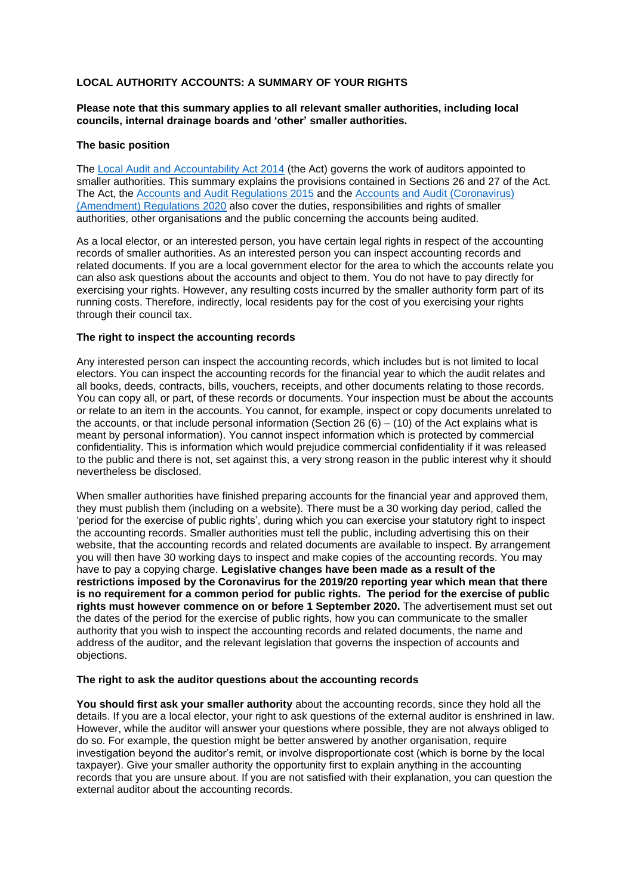## **LOCAL AUTHORITY ACCOUNTS: A SUMMARY OF YOUR RIGHTS**

## **Please note that this summary applies to all relevant smaller authorities, including local councils, internal drainage boards and 'other' smaller authorities.**

#### **The basic position**

The [Local Audit and Accountability Act 2014](http://www.legislation.gov.uk/ukpga/2014/2/contents) (the Act) governs the work of auditors appointed to smaller authorities. This summary explains the provisions contained in Sections 26 and 27 of the Act. The Act, the [Accounts and Audit Regulations 2015](http://www.legislation.gov.uk/uksi/2015/234/contents/made) and the [Accounts and Audit \(Coronavirus\)](http://www.legislation.gov.uk/uksi/2020/404/contents/made)  [\(Amendment\) Regulations 2020](http://www.legislation.gov.uk/uksi/2020/404/contents/made) also cover the duties, responsibilities and rights of smaller authorities, other organisations and the public concerning the accounts being audited.

As a local elector, or an interested person, you have certain legal rights in respect of the accounting records of smaller authorities. As an interested person you can inspect accounting records and related documents. If you are a local government elector for the area to which the accounts relate you can also ask questions about the accounts and object to them. You do not have to pay directly for exercising your rights. However, any resulting costs incurred by the smaller authority form part of its running costs. Therefore, indirectly, local residents pay for the cost of you exercising your rights through their council tax.

#### **The right to inspect the accounting records**

Any interested person can inspect the accounting records, which includes but is not limited to local electors. You can inspect the accounting records for the financial year to which the audit relates and all books, deeds, contracts, bills, vouchers, receipts, and other documents relating to those records. You can copy all, or part, of these records or documents. Your inspection must be about the accounts or relate to an item in the accounts. You cannot, for example, inspect or copy documents unrelated to the accounts, or that include personal information (Section 26  $(6) - (10)$  of the Act explains what is meant by personal information). You cannot inspect information which is protected by commercial confidentiality. This is information which would prejudice commercial confidentiality if it was released to the public and there is not, set against this, a very strong reason in the public interest why it should nevertheless be disclosed.

When smaller authorities have finished preparing accounts for the financial year and approved them, they must publish them (including on a website). There must be a 30 working day period, called the 'period for the exercise of public rights', during which you can exercise your statutory right to inspect the accounting records. Smaller authorities must tell the public, including advertising this on their website, that the accounting records and related documents are available to inspect. By arrangement you will then have 30 working days to inspect and make copies of the accounting records. You may have to pay a copying charge. **Legislative changes have been made as a result of the restrictions imposed by the Coronavirus for the 2019/20 reporting year which mean that there is no requirement for a common period for public rights. The period for the exercise of public rights must however commence on or before 1 September 2020.** The advertisement must set out the dates of the period for the exercise of public rights, how you can communicate to the smaller authority that you wish to inspect the accounting records and related documents, the name and address of the auditor, and the relevant legislation that governs the inspection of accounts and objections.

## **The right to ask the auditor questions about the accounting records**

**You should first ask your smaller authority** about the accounting records, since they hold all the details. If you are a local elector, your right to ask questions of the external auditor is enshrined in law. However, while the auditor will answer your questions where possible, they are not always obliged to do so. For example, the question might be better answered by another organisation, require investigation beyond the auditor's remit, or involve disproportionate cost (which is borne by the local taxpayer). Give your smaller authority the opportunity first to explain anything in the accounting records that you are unsure about. If you are not satisfied with their explanation, you can question the external auditor about the accounting records.